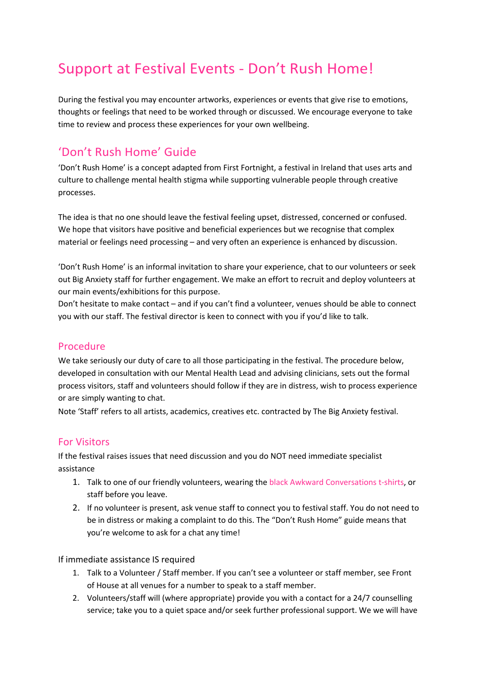# Support at Festival Events - Don't Rush Home!

During the festival you may encounter artworks, experiences or events that give rise to emotions, thoughts or feelings that need to be worked through or discussed. We encourage everyone to take time to review and process these experiences for your own wellbeing.

# 'Don't Rush Home' Guide

'Don't Rush Home' is a concept adapted from First Fortnight, a festival in Ireland that uses arts and culture to challenge mental health stigma while supporting vulnerable people through creative processes.

The idea is that no one should leave the festival feeling upset, distressed, concerned or confused. We hope that visitors have positive and beneficial experiences but we recognise that complex material or feelings need processing – and very often an experience is enhanced by discussion.

'Don't Rush Home' is an informal invitation to share your experience, chat to our volunteers or seek out Big Anxiety staff for further engagement. We make an effort to recruit and deploy volunteers at our main events/exhibitions for this purpose.

Don't hesitate to make contact – and if you can't find a volunteer, venues should be able to connect you with our staff. The festival director is keen to connect with you if you'd like to talk.

# Procedure

We take seriously our duty of care to all those participating in the festival. The procedure below, developed in consultation with our Mental Health Lead and advising clinicians, sets out the formal process visitors, staff and volunteers should follow if they are in distress, wish to process experience or are simply wanting to chat.

Note 'Staff' refers to all artists, academics, creatives etc. contracted by The Big Anxiety festival.

# For Visitors

If the festival raises issues that need discussion and you do NOT need immediate specialist assistance

- 1. Talk to one of our friendly volunteers, wearing the black Awkward Conversations t-shirts, or staff before you leave.
- 2. If no volunteer is present, ask venue staff to connect you to festival staff. You do not need to be in distress or making a complaint to do this. The "Don't Rush Home" guide means that you're welcome to ask for a chat any time!

If immediate assistance IS required

- 1. Talk to a Volunteer / Staff member. If you can't see a volunteer or staff member, see Front of House at all venues for a number to speak to a staff member.
- 2. Volunteers/staff will (where appropriate) provide you with a contact for a 24/7 counselling service; take you to a quiet space and/or seek further professional support. We we will have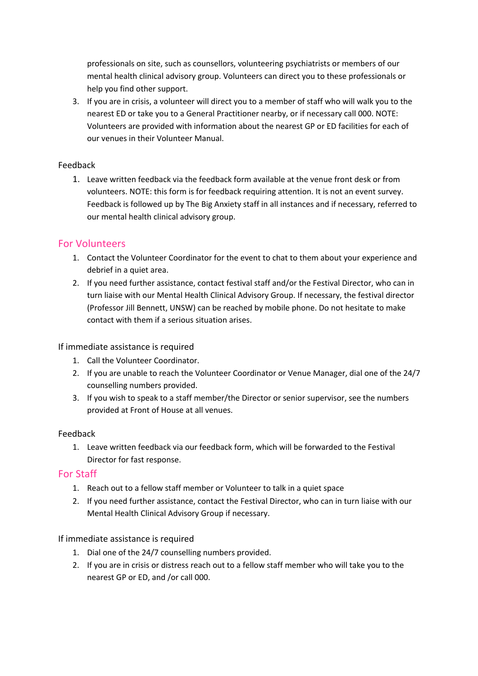professionals on site, such as counsellors, volunteering psychiatrists or members of our mental health clinical advisory group. Volunteers can direct you to these professionals or help you find other support.

3. If you are in crisis, a volunteer will direct you to a member of staff who will walk you to the nearest ED or take you to a General Practitioner nearby, or if necessary call 000. NOTE: Volunteers are provided with information about the nearest GP or ED facilities for each of our venues in their Volunteer Manual.

#### Feedback

1. Leave written feedback via the feedback form available at the venue front desk or from volunteers. NOTE: this form is for feedback requiring attention. It is not an event survey. Feedback is followed up by The Big Anxiety staff in all instances and if necessary, referred to our mental health clinical advisory group.

# For Volunteers

- 1. Contact the Volunteer Coordinator for the event to chat to them about your experience and debrief in a quiet area.
- 2. If you need further assistance, contact festival staff and/or the Festival Director, who can in turn liaise with our Mental Health Clinical Advisory Group. If necessary, the festival director (Professor Jill Bennett, UNSW) can be reached by mobile phone. Do not hesitate to make contact with them if a serious situation arises.

#### If immediate assistance is required

- 1. Call the Volunteer Coordinator.
- 2. If you are unable to reach the Volunteer Coordinator or Venue Manager, dial one of the 24/7 counselling numbers provided.
- 3. If you wish to speak to a staff member/the Director or senior supervisor, see the numbers provided at Front of House at all venues.

#### Feedback

1. Leave written feedback via our feedback form, which will be forwarded to the Festival Director for fast response.

# For Staff

- 1. Reach out to a fellow staff member or Volunteer to talk in a quiet space
- 2. If you need further assistance, contact the Festival Director, who can in turn liaise with our Mental Health Clinical Advisory Group if necessary.

#### If immediate assistance is required

- 1. Dial one of the 24/7 counselling numbers provided.
- 2. If you are in crisis or distress reach out to a fellow staff member who will take you to the nearest GP or ED, and /or call 000.